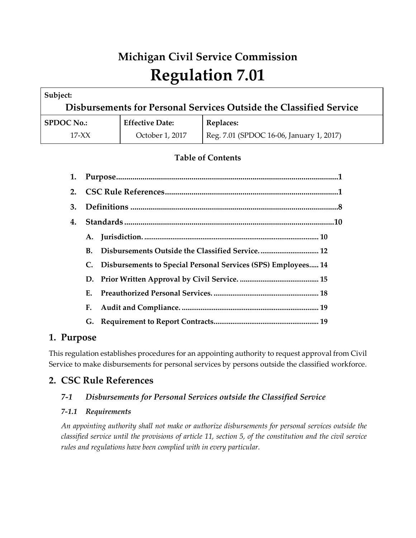# **Michigan Civil Service Commission Regulation 7.01**

| Subject:                                                           |                        |                                          |  |
|--------------------------------------------------------------------|------------------------|------------------------------------------|--|
| Disbursements for Personal Services Outside the Classified Service |                        |                                          |  |
| <b>SPDOC No.:</b>                                                  | <b>Effective Date:</b> | Replaces:                                |  |
| $17-XX$                                                            | October 1, 2017        | Reg. 7.01 (SPDOC 16-06, January 1, 2017) |  |

# **Table of Contents**

| 1. |             |                                                                      |
|----|-------------|----------------------------------------------------------------------|
| 2. |             |                                                                      |
| 3. |             |                                                                      |
| 4. |             |                                                                      |
|    | A.          |                                                                      |
|    | В.          |                                                                      |
|    | C.          | <b>Disbursements to Special Personal Services (SPS) Employees 14</b> |
|    |             |                                                                      |
|    | $E_{\star}$ |                                                                      |
|    | F.          |                                                                      |
|    |             |                                                                      |

# **1. Purpose**

This regulation establishes procedures for an appointing authority to request approval from Civil Service to make disbursements for personal services by persons outside the classified workforce.

# **2. CSC Rule References**

# *7-1 Disbursements for Personal Services outside the Classified Service*

# *7-1.1 Requirements*

*An appointing authority shall not make or authorize disbursements for personal services outside the classified service until the provisions of article 11, section 5, of the constitution and the civil service rules and regulations have been complied with in every particular.*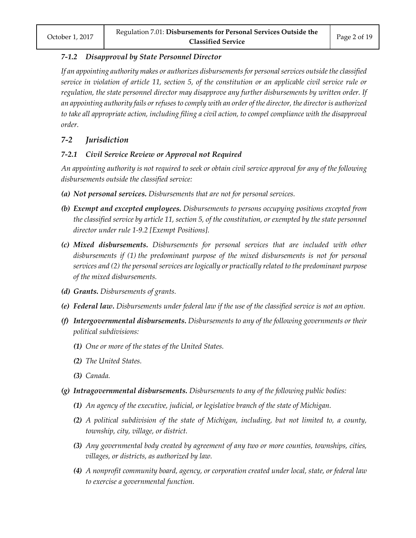## *7-1.2 Disapproval by State Personnel Director*

*If an appointing authority makes or authorizes disbursements for personal services outside the classified service in violation of article 11, section 5, of the constitution or an applicable civil service rule or regulation, the state personnel director may disapprove any further disbursements by written order. If an appointing authority fails or refuses to comply with an order of the director, the director is authorized to take all appropriate action, including filing a civil action, to compel compliance with the disapproval order.*

# *7-2 Jurisdiction*

# *7-2.1 Civil Service Review or Approval not Required*

*An appointing authority is not required to seek or obtain civil service approval for any of the following disbursements outside the classified service:*

- *(a) Not personal services. Disbursements that are not for personal services.*
- *(b) Exempt and excepted employees. Disbursements to persons occupying positions excepted from the classified service by article 11, section 5, of the constitution, or exempted by the state personnel director under rule 1-9.2 [Exempt Positions].*
- *(c) Mixed disbursements. Disbursements for personal services that are included with other disbursements if (1) the predominant purpose of the mixed disbursements is not for personal services and (2) the personal services are logically or practically related to the predominant purpose of the mixed disbursements.*
- *(d) Grants. Disbursements of grants.*
- *(e) Federal law. Disbursements under federal law if the use of the classified service is not an option.*
- *(f) Intergovernmental disbursements. Disbursements to any of the following governments or their political subdivisions:*
	- *(1) One or more of the states of the United States.*
	- *(2) The United States.*
	- *(3) Canada.*
- *(g) Intragovernmental disbursements. Disbursements to any of the following public bodies:*
	- *(1) An agency of the executive, judicial, or legislative branch of the state of Michigan.*
	- *(2) A political subdivision of the state of Michigan, including, but not limited to, a county, township, city, village, or district.*
	- *(3) Any governmental body created by agreement of any two or more counties, townships, cities, villages, or districts, as authorized by law.*
	- *(4) A nonprofit community board, agency, or corporation created under local, state, or federal law to exercise a governmental function.*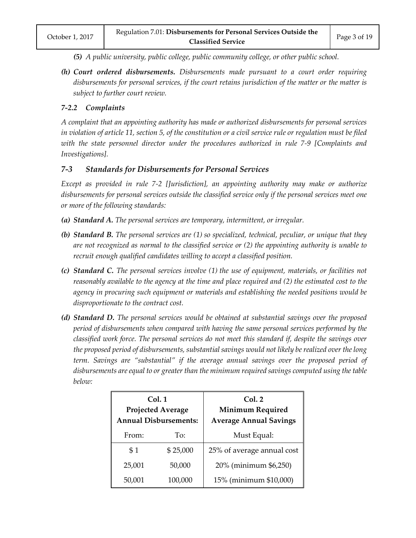- *(5) A public university, public college, public community college, or other public school.*
- *(h) Court ordered disbursements. Disbursements made pursuant to a court order requiring disbursements for personal services, if the court retains jurisdiction of the matter or the matter is subject to further court review.*

## *7-2.2 Complaints*

*A complaint that an appointing authority has made or authorized disbursements for personal services in violation of article 11, section 5, of the constitution or a civil service rule or regulation must be filed*  with the state personnel director under the procedures authorized in rule 7-9 [Complaints and *Investigations].*

# *7-3 Standards for Disbursements for Personal Services*

*Except as provided in rule 7-2 [Jurisdiction], an appointing authority may make or authorize disbursements for personal services outside the classified service only if the personal services meet one or more of the following standards:*

- *(a) Standard A. The personal services are temporary, intermittent, or irregular.*
- *(b) Standard B. The personal services are (1) so specialized, technical, peculiar, or unique that they are not recognized as normal to the classified service or (2) the appointing authority is unable to recruit enough qualified candidates willing to accept a classified position.*
- *(c) Standard C. The personal services involve (1) the use of equipment, materials, or facilities not reasonably available to the agency at the time and place required and (2) the estimated cost to the agency in procuring such equipment or materials and establishing the needed positions would be disproportionate to the contract cost.*
- *(d) Standard D. The personal services would be obtained at substantial savings over the proposed period of disbursements when compared with having the same personal services performed by the classified work force. The personal services do not meet this standard if, despite the savings over the proposed period of disbursements, substantial savings would not likely be realized over the long term. Savings are "substantial" if the average annual savings over the proposed period of disbursements are equal to or greater than the minimum required savings computed using the table below:*

| Col.1<br><b>Projected Average</b><br><b>Annual Disbursements:</b> |          | Col. 2<br><b>Minimum Required</b><br><b>Average Annual Savings</b> |  |
|-------------------------------------------------------------------|----------|--------------------------------------------------------------------|--|
| From:                                                             | To:      | Must Equal:                                                        |  |
| \$1                                                               | \$25,000 | 25% of average annual cost                                         |  |
| 25,001                                                            | 50,000   | 20% (minimum \$6,250)                                              |  |
| 50,001                                                            | 100,000  | 15% (minimum \$10,000)                                             |  |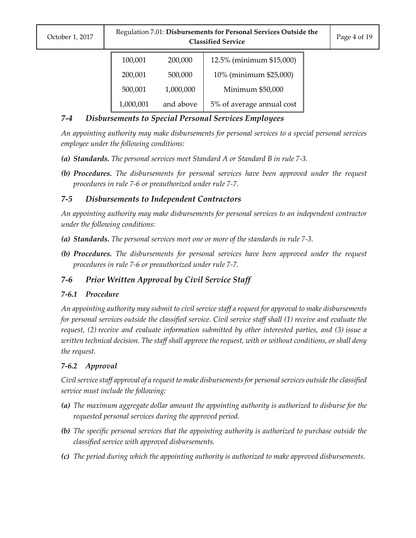| October 1, 2017 |  |
|-----------------|--|
|                 |  |

| 100,001   | 200,000   | 12.5% (minimum \$15,000)  |
|-----------|-----------|---------------------------|
| 200,001   | 500,000   | 10% (minimum \$25,000)    |
| 500,001   | 1,000,000 | Minimum \$50,000          |
| 1,000,001 | and above | 5% of average annual cost |

# *7-4 Disbursements to Special Personal Services Employees*

*An appointing authority may make disbursements for personal services to a special personal services employee under the following conditions:*

- *(a) Standards. The personal services meet Standard A or Standard B in rule 7-3.*
- *(b) Procedures. The disbursements for personal services have been approved under the request procedures in rule 7-6 or preauthorized under rule 7-7.*

# *7-5 Disbursements to Independent Contractors*

*An appointing authority may make disbursements for personal services to an independent contractor under the following conditions:*

- *(a) Standards. The personal services meet one or more of the standards in rule 7-3.*
- *(b) Procedures. The disbursements for personal services have been approved under the request procedures in rule 7-6 or preauthorized under rule 7-7.*

# *7-6 Prior Written Approval by Civil Service Staff*

# *7-6.1 Procedure*

*An appointing authority may submit to civil service staff a request for approval to make disbursements for personal services outside the classified service. Civil service staff shall (1) receive and evaluate the request, (2) receive and evaluate information submitted by other interested parties, and (3) issue a written technical decision. The staff shall approve the request, with or without conditions, or shall deny the request.*

# *7-6.2 Approval*

*Civil service staff approval of a request to make disbursements for personal services outside the classified service must include the following:*

- *(a) The maximum aggregate dollar amount the appointing authority is authorized to disburse for the requested personal services during the approved period.*
- *(b) The specific personal services that the appointing authority is authorized to purchase outside the classified service with approved disbursements.*
- *(c) The period during which the appointing authority is authorized to make approved disbursements.*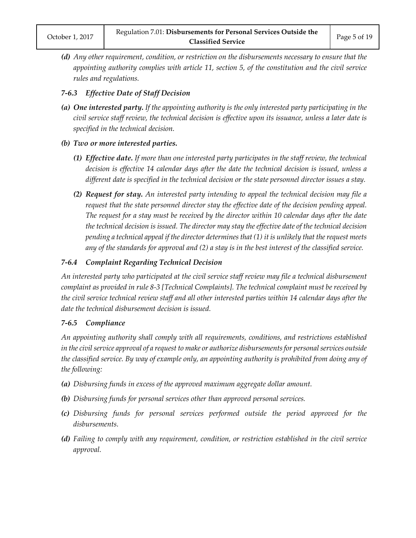*(d) Any other requirement, condition, or restriction on the disbursements necessary to ensure that the appointing authority complies with article 11, section 5, of the constitution and the civil service rules and regulations.*

## *7-6.3 Effective Date of Staff Decision*

*(a) One interested party. If the appointing authority is the only interested party participating in the civil service staff review, the technical decision is effective upon its issuance, unless a later date is specified in the technical decision.*

#### *(b) Two or more interested parties.*

- *(1) Effective date. If more than one interested party participates in the staff review, the technical decision is effective 14 calendar days after the date the technical decision is issued, unless a different date is specified in the technical decision or the state personnel director issues a stay.*
- *(2) Request for stay. An interested party intending to appeal the technical decision may file a request that the state personnel director stay the effective date of the decision pending appeal. The request for a stay must be received by the director within 10 calendar days after the date the technical decision is issued. The director may stay the effective date of the technical decision pending a technical appeal if the director determines that (1) it is unlikely that the request meets any of the standards for approval and (2) a stay is in the best interest of the classified service.*

## *7-6.4 Complaint Regarding Technical Decision*

*An interested party who participated at the civil service staff review may file a technical disbursement complaint as provided in rule 8-3 [Technical Complaints]. The technical complaint must be received by the civil service technical review staff and all other interested parties within 14 calendar days after the date the technical disbursement decision is issued.*

#### *7-6.5 Compliance*

*An appointing authority shall comply with all requirements, conditions, and restrictions established in the civil service approval of a request to make or authorize disbursements for personal services outside the classified service. By way of example only, an appointing authority is prohibited from doing any of the following:*

- *(a) Disbursing funds in excess of the approved maximum aggregate dollar amount.*
- *(b) Disbursing funds for personal services other than approved personal services.*
- *(c) Disbursing funds for personal services performed outside the period approved for the disbursements.*
- *(d) Failing to comply with any requirement, condition, or restriction established in the civil service approval.*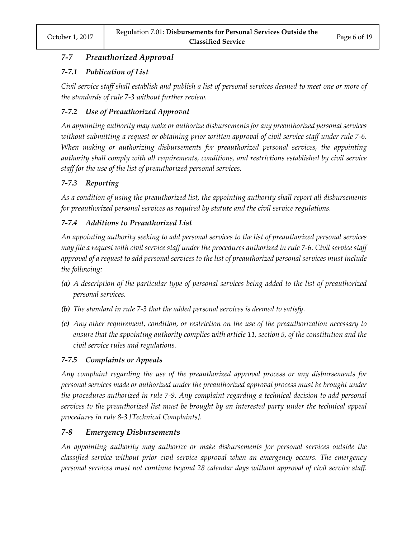# *7-7 Preauthorized Approval*

# *7-7.1 Publication of List*

*Civil service staff shall establish and publish a list of personal services deemed to meet one or more of the standards of rule 7-3 without further review.*

# *7-7.2 Use of Preauthorized Approval*

*An appointing authority may make or authorize disbursements for any preauthorized personal services without submitting a request or obtaining prior written approval of civil service staff under rule 7-6. When making or authorizing disbursements for preauthorized personal services, the appointing authority shall comply with all requirements, conditions, and restrictions established by civil service staff for the use of the list of preauthorized personal services.*

# *7-7.3 Reporting*

*As a condition of using the preauthorized list, the appointing authority shall report all disbursements for preauthorized personal services as required by statute and the civil service regulations.*

# *7-7.4 Additions to Preauthorized List*

*An appointing authority seeking to add personal services to the list of preauthorized personal services may file a request with civil service staff under the procedures authorized in rule 7-6. Civil service staff approval of a request to add personal services to the list of preauthorized personal services must include the following:*

- *(a) A description of the particular type of personal services being added to the list of preauthorized personal services.*
- *(b) The standard in rule 7-3 that the added personal services is deemed to satisfy.*
- *(c) Any other requirement, condition, or restriction on the use of the preauthorization necessary to ensure that the appointing authority complies with article 11, section 5, of the constitution and the civil service rules and regulations.*

# *7-7.5 Complaints or Appeals*

*Any complaint regarding the use of the preauthorized approval process or any disbursements for personal services made or authorized under the preauthorized approval process must be brought under the procedures authorized in rule 7-9. Any complaint regarding a technical decision to add personal services to the preauthorized list must be brought by an interested party under the technical appeal procedures in rule 8-3 [Technical Complaints].*

# *7-8 Emergency Disbursements*

*An appointing authority may authorize or make disbursements for personal services outside the classified service without prior civil service approval when an emergency occurs. The emergency personal services must not continue beyond 28 calendar days without approval of civil service staff.*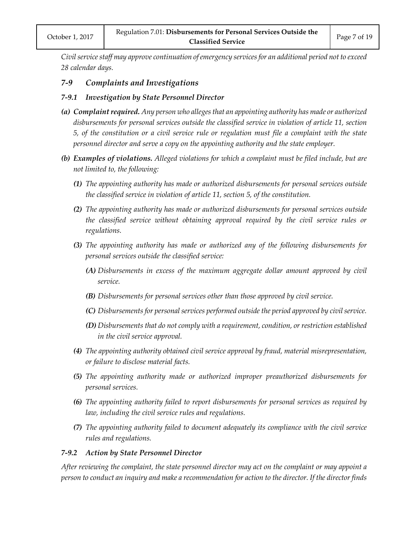*Civil service staff may approve continuation of emergency services for an additional period not to exceed 28 calendar days.*

## *7-9 Complaints and Investigations*

#### *7-9.1 Investigation by State Personnel Director*

- *(a) Complaint required. Any person who alleges that an appointing authority has made or authorized disbursements for personal services outside the classified service in violation of article 11, section 5, of the constitution or a civil service rule or regulation must file a complaint with the state personnel director and serve a copy on the appointing authority and the state employer.*
- *(b) Examples of violations. Alleged violations for which a complaint must be filed include, but are not limited to, the following:*
	- *(1) The appointing authority has made or authorized disbursements for personal services outside the classified service in violation of article 11, section 5, of the constitution.*
	- *(2) The appointing authority has made or authorized disbursements for personal services outside the classified service without obtaining approval required by the civil service rules or regulations.*
	- *(3) The appointing authority has made or authorized any of the following disbursements for personal services outside the classified service:*
		- *(A) Disbursements in excess of the maximum aggregate dollar amount approved by civil service.*
		- *(B) Disbursements for personal services other than those approved by civil service.*
		- *(C) Disbursements for personal services performed outside the period approved by civil service.*
		- *(D) Disbursements that do not comply with a requirement, condition, or restriction established in the civil service approval.*
	- *(4) The appointing authority obtained civil service approval by fraud, material misrepresentation, or failure to disclose material facts.*
	- *(5) The appointing authority made or authorized improper preauthorized disbursements for personal services.*
	- *(6) The appointing authority failed to report disbursements for personal services as required by law, including the civil service rules and regulations.*
	- *(7) The appointing authority failed to document adequately its compliance with the civil service rules and regulations.*

#### *7-9.2 Action by State Personnel Director*

*After reviewing the complaint, the state personnel director may act on the complaint or may appoint a person to conduct an inquiry and make a recommendation for action to the director. If the director finds*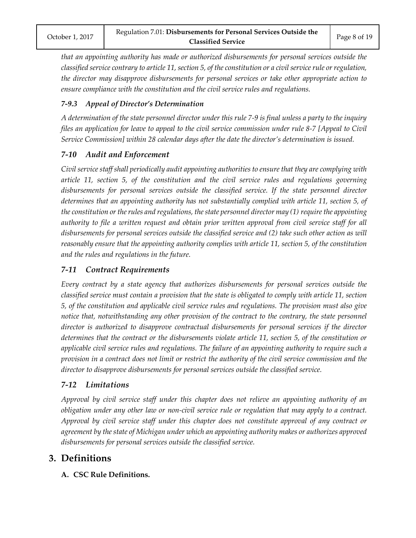*that an appointing authority has made or authorized disbursements for personal services outside the classified service contrary to article 11, section 5, of the constitution or a civil service rule or regulation, the director may disapprove disbursements for personal services or take other appropriate action to ensure compliance with the constitution and the civil service rules and regulations.*

## *7-9.3 Appeal of Director's Determination*

*A determination of the state personnel director under this rule 7-9 is final unless a party to the inquiry files an application for leave to appeal to the civil service commission under rule 8-7 [Appeal to Civil Service Commission] within 28 calendar days after the date the director's determination is issued.*

## *7-10 Audit and Enforcement*

*Civil service staff shall periodically audit appointing authorities to ensure that they are complying with article 11, section 5, of the constitution and the civil service rules and regulations governing disbursements for personal services outside the classified service. If the state personnel director determines that an appointing authority has not substantially complied with article 11, section 5, of the constitution or the rules and regulations, the state personnel director may (1) require the appointing authority to file a written request and obtain prior written approval from civil service staff for all disbursements for personal services outside the classified service and (2) take such other action as will reasonably ensure that the appointing authority complies with article 11, section 5, of the constitution and the rules and regulations in the future.*

## *7-11 Contract Requirements*

*Every contract by a state agency that authorizes disbursements for personal services outside the classified service must contain a provision that the state is obligated to comply with article 11, section 5, of the constitution and applicable civil service rules and regulations. The provision must also give notice that, notwithstanding any other provision of the contract to the contrary, the state personnel director is authorized to disapprove contractual disbursements for personal services if the director determines that the contract or the disbursements violate article 11, section 5, of the constitution or applicable civil service rules and regulations. The failure of an appointing authority to require such a provision in a contract does not limit or restrict the authority of the civil service commission and the director to disapprove disbursements for personal services outside the classified service.*

# *7-12 Limitations*

*Approval by civil service staff under this chapter does not relieve an appointing authority of an obligation under any other law or non-civil service rule or regulation that may apply to a contract. Approval by civil service staff under this chapter does not constitute approval of any contract or agreement by the state of Michigan under which an appointing authority makes or authorizes approved disbursements for personal services outside the classified service.*

# **3. Definitions**

**A. CSC Rule Definitions.**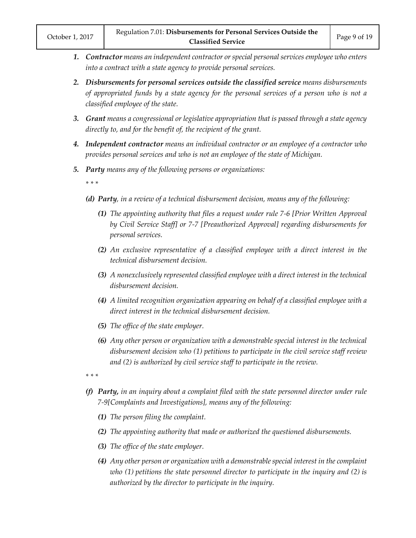- *1. Contractor means an independent contractor or special personal services employee who enters into a contract with a state agency to provide personal services.*
- *2. Disbursements for personal services outside the classified service means disbursements of appropriated funds by a state agency for the personal services of a person who is not a classified employee of the state.*
- *3. Grant means a congressional or legislative appropriation that is passed through a state agency directly to, and for the benefit of, the recipient of the grant.*
- *4. Independent contractor means an individual contractor or an employee of a contractor who provides personal services and who is not an employee of the state of Michigan.*
- *5. Party means any of the following persons or organizations:*

*\* \* \**

- *(d) Party, in a review of a technical disbursement decision, means any of the following:*
	- *(1) The appointing authority that files a request under rule 7-6 [Prior Written Approval by Civil Service Staff] or 7-7 [Preauthorized Approval] regarding disbursements for personal services.*
	- *(2) An exclusive representative of a classified employee with a direct interest in the technical disbursement decision.*
	- *(3) A nonexclusively represented classified employee with a direct interest in the technical disbursement decision.*
	- *(4) A limited recognition organization appearing on behalf of a classified employee with a direct interest in the technical disbursement decision.*
	- *(5) The office of the state employer.*
	- *(6) Any other person or organization with a demonstrable special interest in the technical disbursement decision who (1) petitions to participate in the civil service staff review and (2) is authorized by civil service staff to participate in the review.*

*\* \* \**

- *(f) Party, in an inquiry about a complaint filed with the state personnel director under rule 7-9[Complaints and Investigations], means any of the following:*
	- *(1) The person filing the complaint.*
	- *(2) The appointing authority that made or authorized the questioned disbursements.*
	- *(3) The office of the state employer.*
	- *(4) Any other person or organization with a demonstrable special interest in the complaint who (1) petitions the state personnel director to participate in the inquiry and (2) is authorized by the director to participate in the inquiry.*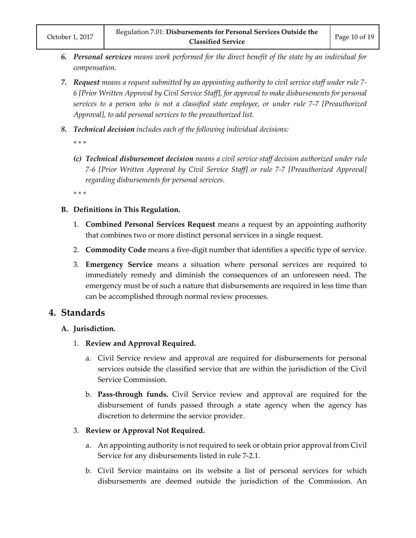- *6. Personal services means work performed for the direct benefit of the state by an individual for compensation.*
- *7. Request means a request submitted by an appointing authority to civil service staff under rule 7- 6 [Prior Written Approval by Civil Service Staff], for approval to make disbursements for personal services to a person who is not a classified state employee, or under rule 7-7 [Preauthorized Approval], to add personal services to the preauthorized list.*
- *8. Technical decision includes each of the following individual decisions:*
	- *\* \* \**
	- *(c) Technical disbursement decision means a civil service staff decision authorized under rule 7-6 [Prior Written Approval by Civil Service Staff] or rule 7-7 [Preauthorized Approval] regarding disbursements for personal services.*
	- *\* \* \**
- **B. Definitions in This Regulation.**
	- 1. **Combined Personal Services Request** means a request by an appointing authority that combines two or more distinct personal services in a single request.
	- 2. **Commodity Code** means a five-digit number that identifies a specific type of service.
	- 3. **Emergency Service** means a situation where personal services are required to immediately remedy and diminish the consequences of an unforeseen need. The emergency must be of such a nature that disbursements are required in less time than can be accomplished through normal review processes.

# **4. Standards**

# **A. Jurisdiction.**

- 1. **Review and Approval Required.**
	- a. Civil Service review and approval are required for disbursements for personal services outside the classified service that are within the jurisdiction of the Civil Service Commission.
	- b. **Pass-through funds.** Civil Service review and approval are required for the disbursement of funds passed through a state agency when the agency has discretion to determine the service provider.

## 3. **Review or Approval Not Required.**

- a. An appointing authority is not required to seek or obtain prior approval from Civil Service for any disbursements listed in rule 7-2.1.
- b. Civil Service maintains on its website a list of personal services for which disbursements are deemed outside the jurisdiction of the Commission. An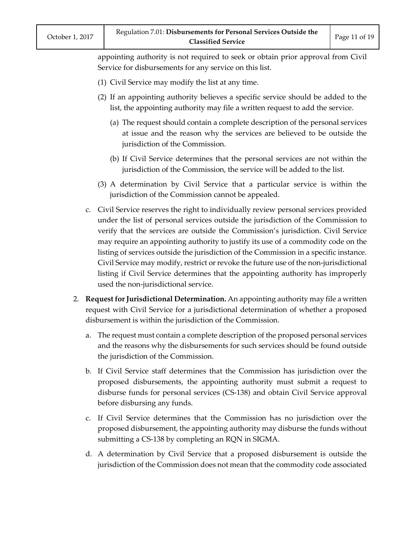appointing authority is not required to seek or obtain prior approval from Civil Service for disbursements for any service on this list.

- (1) Civil Service may modify the list at any time.
- (2) If an appointing authority believes a specific service should be added to the list, the appointing authority may file a written request to add the service.
	- (a) The request should contain a complete description of the personal services at issue and the reason why the services are believed to be outside the jurisdiction of the Commission.
	- (b) If Civil Service determines that the personal services are not within the jurisdiction of the Commission, the service will be added to the list.
- (3) A determination by Civil Service that a particular service is within the jurisdiction of the Commission cannot be appealed.
- c. Civil Service reserves the right to individually review personal services provided under the list of personal services outside the jurisdiction of the Commission to verify that the services are outside the Commission's jurisdiction. Civil Service may require an appointing authority to justify its use of a commodity code on the listing of services outside the jurisdiction of the Commission in a specific instance. Civil Service may modify, restrict or revoke the future use of the non-jurisdictional listing if Civil Service determines that the appointing authority has improperly used the non-jurisdictional service.
- 2. **Request for Jurisdictional Determination.** An appointing authority may file a written request with Civil Service for a jurisdictional determination of whether a proposed disbursement is within the jurisdiction of the Commission.
	- a. The request must contain a complete description of the proposed personal services and the reasons why the disbursements for such services should be found outside the jurisdiction of the Commission.
	- b. If Civil Service staff determines that the Commission has jurisdiction over the proposed disbursements, the appointing authority must submit a request to disburse funds for personal services (CS-138) and obtain Civil Service approval before disbursing any funds.
	- c. If Civil Service determines that the Commission has no jurisdiction over the proposed disbursement, the appointing authority may disburse the funds without submitting a CS-138 by completing an RQN in SIGMA.
	- d. A determination by Civil Service that a proposed disbursement is outside the jurisdiction of the Commission does not mean that the commodity code associated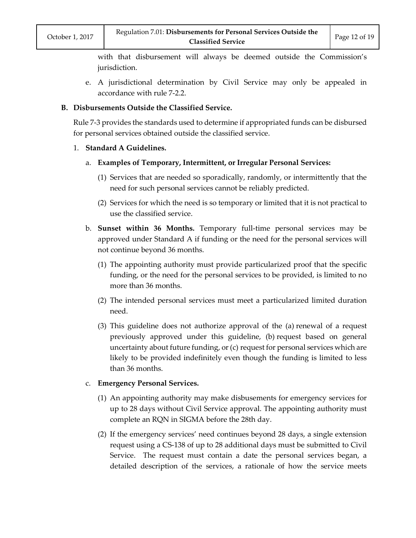with that disbursement will always be deemed outside the Commission's jurisdiction.

e. A jurisdictional determination by Civil Service may only be appealed in accordance with rule 7-2.2.

#### **B. Disbursements Outside the Classified Service.**

Rule 7-3 provides the standards used to determine if appropriated funds can be disbursed for personal services obtained outside the classified service.

#### 1. **Standard A Guidelines.**

- a. **Examples of Temporary, Intermittent, or Irregular Personal Services:**
	- (1) Services that are needed so sporadically, randomly, or intermittently that the need for such personal services cannot be reliably predicted.
	- (2) Services for which the need is so temporary or limited that it is not practical to use the classified service.
- b. **Sunset within 36 Months.** Temporary full-time personal services may be approved under Standard A if funding or the need for the personal services will not continue beyond 36 months.
	- (1) The appointing authority must provide particularized proof that the specific funding, or the need for the personal services to be provided, is limited to no more than 36 months.
	- (2) The intended personal services must meet a particularized limited duration need.
	- (3) This guideline does not authorize approval of the (a) renewal of a request previously approved under this guideline, (b) request based on general uncertainty about future funding, or (c) request for personal services which are likely to be provided indefinitely even though the funding is limited to less than 36 months.

#### c. **Emergency Personal Services.**

- (1) An appointing authority may make disbusements for emergency services for up to 28 days without Civil Service approval. The appointing authority must complete an RQN in SIGMA before the 28th day.
- (2) If the emergency services' need continues beyond 28 days, a single extension request using a CS-138 of up to 28 additional days must be submitted to Civil Service. The request must contain a date the personal services began, a detailed description of the services, a rationale of how the service meets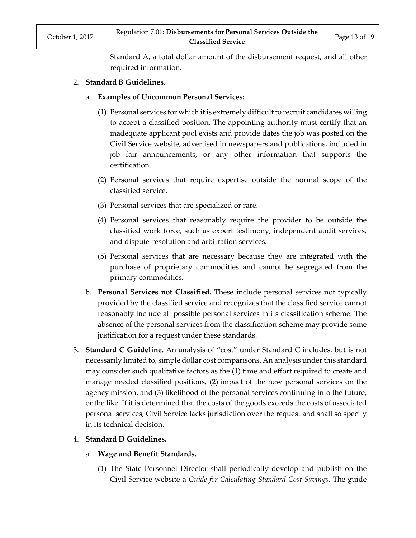Standard A, a total dollar amount of the disbursement request, and all other required information.

#### 2. **Standard B Guidelines.**

#### a. **Examples of Uncommon Personal Services:**

- (1) Personal services for which it is extremely difficult to recruit candidates willing to accept a classified position. The appointing authority must certify that an inadequate applicant pool exists and provide dates the job was posted on the Civil Service website, advertised in newspapers and publications, included in job fair announcements, or any other information that supports the certification.
- (2) Personal services that require expertise outside the normal scope of the classified service.
- (3) Personal services that are specialized or rare.
- (4) Personal services that reasonably require the provider to be outside the classified work force, such as expert testimony, independent audit services, and dispute-resolution and arbitration services.
- (5) Personal services that are necessary because they are integrated with the purchase of proprietary commodities and cannot be segregated from the primary commodities.
- b. **Personal Services not Classified.** These include personal services not typically provided by the classified service and recognizes that the classified service cannot reasonably include all possible personal services in its classification scheme. The absence of the personal services from the classification scheme may provide some justification for a request under these standards.
- 3. **Standard C Guideline.** An analysis of "cost" under Standard C includes, but is not necessarily limited to, simple dollar cost comparisons. An analysis under this standard may consider such qualitative factors as the (1) time and effort required to create and manage needed classified positions, (2) impact of the new personal services on the agency mission, and (3) likelihood of the personal services continuing into the future, or the like. If it is determined that the costs of the goods exceeds the costs of associated personal services, Civil Service lacks jurisdiction over the request and shall so specify in its technical decision.

#### 4. **Standard D Guidelines.**

- a. **Wage and Benefit Standards.**
	- (1) The State Personnel Director shall periodically develop and publish on the Civil Service website a *Guide for Calculating Standard Cost Savings*. The guide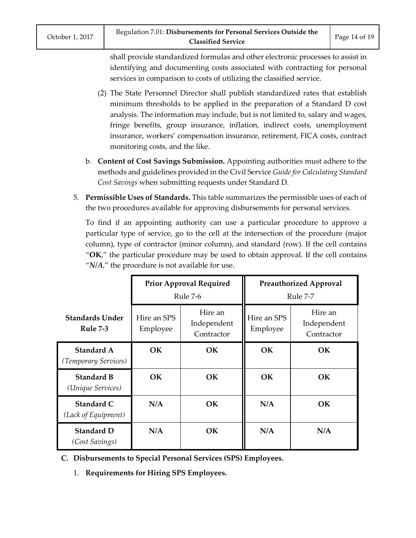shall provide standardized formulas and other electronic processes to assist in identifying and documenting costs associated with contracting for personal services in comparison to costs of utilizing the classified service.

- (2) The State Personnel Director shall publish standardized rates that establish minimum thresholds to be applied in the preparation of a Standard D cost analysis. The information may include, but is not limited to, salary and wages, fringe benefits, group insurance, inflation, indirect costs, unemployment insurance, workers' compensation insurance, retirement, FICA costs, contract monitoring costs, and the like.
- b. **Content of Cost Savings Submission.** Appointing authorities must adhere to the methods and guidelines provided in the Civil Service *Guide for Calculating Standard Cost Savings* when submitting requests under Standard D.
- 5. **Permissible Uses of Standards.** This table summarizes the permissible uses of each of the two procedures available for approving disbursements for personal services.

To find if an appointing authority can use a particular procedure to approve a particular type of service, go to the cell at the intersection of the procedure (major column), type of contractor (minor column), and standard (row). If the cell contains "**OK**," the particular procedure may be used to obtain approval. If the cell contains " $N/A$ ," the procedure is not available for use.

|                                           | <b>Prior Approval Required</b><br>Rule 7-6 |                                      | <b>Preauthorized Approval</b><br>Rule 7-7 |                                      |
|-------------------------------------------|--------------------------------------------|--------------------------------------|-------------------------------------------|--------------------------------------|
| <b>Standards Under</b><br><b>Rule 7-3</b> | Hire an SPS<br>Employee                    | Hire an<br>Independent<br>Contractor | Hire an SPS<br>Employee                   | Hire an<br>Independent<br>Contractor |
| Standard A<br>(Temporary Services)        | <b>OK</b>                                  | <b>OK</b>                            | <b>OK</b>                                 | <b>OK</b>                            |
| <b>Standard B</b><br>(Unique Services)    | OK.                                        | <b>OK</b>                            | <b>OK</b>                                 | <b>OK</b>                            |
| Standard C<br>(Lack of Equipment)         | N/A                                        | <b>OK</b>                            | N/A                                       | <b>OK</b>                            |
| <b>Standard D</b><br>(Cost Savings)       | N/A                                        | OК                                   | N/A                                       | N/A                                  |

- **C. Disbursements to Special Personal Services (SPS) Employees.**
	- 1. **Requirements for Hiring SPS Employees.**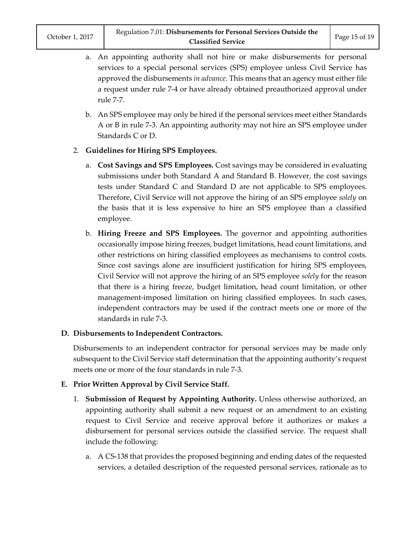- a. An appointing authority shall not hire or make disbursements for personal services to a special personal services (SPS) employee unless Civil Service has approved the disbursements *in advance*. This means that an agency must either file a request under rule 7-4 or have already obtained preauthorized approval under rule 7-7.
- b. An SPS employee may only be hired if the personal services meet either Standards A or B in rule 7-3. An appointing authority may not hire an SPS employee under Standards C or D.

## 2. **Guidelines for Hiring SPS Employees.**

- a. **Cost Savings and SPS Employees.** Cost savings may be considered in evaluating submissions under both Standard A and Standard B. However, the cost savings tests under Standard C and Standard D are not applicable to SPS employees. Therefore, Civil Service will not approve the hiring of an SPS employee *solely* on the basis that it is less expensive to hire an SPS employee than a classified employee.
- b. **Hiring Freeze and SPS Employees.** The governor and appointing authorities occasionally impose hiring freezes, budget limitations, head count limitations, and other restrictions on hiring classified employees as mechanisms to control costs. Since cost savings alone are insufficient justification for hiring SPS employees, Civil Service will not approve the hiring of an SPS employee *solely* for the reason that there is a hiring freeze, budget limitation, head count limitation, or other management-imposed limitation on hiring classified employees. In such cases, independent contractors may be used if the contract meets one or more of the standards in rule 7-3.

#### **D. Disbursements to Independent Contractors.**

Disbursements to an independent contractor for personal services may be made only subsequent to the Civil Service staff determination that the appointing authority's request meets one or more of the four standards in rule 7-3.

#### **E. Prior Written Approval by Civil Service Staff.**

- 1. **Submission of Request by Appointing Authority.** Unless otherwise authorized, an appointing authority shall submit a new request or an amendment to an existing request to Civil Service and receive approval before it authorizes or makes a disbursement for personal services outside the classified service. The request shall include the following:
	- a. A CS-138 that provides the proposed beginning and ending dates of the requested services, a detailed description of the requested personal services, rationale as to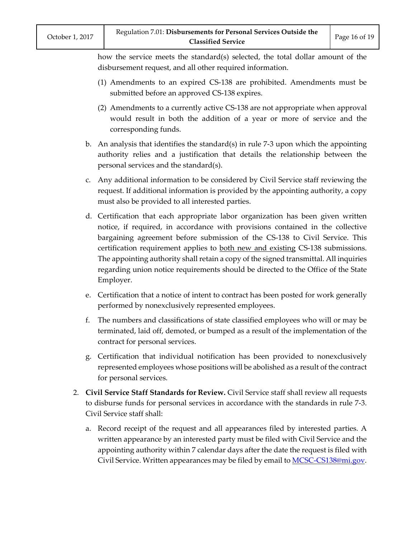how the service meets the standard(s) selected, the total dollar amount of the disbursement request, and all other required information.

- (1) Amendments to an expired CS-138 are prohibited. Amendments must be submitted before an approved CS-138 expires.
- (2) Amendments to a currently active CS-138 are not appropriate when approval would result in both the addition of a year or more of service and the corresponding funds.
- b. An analysis that identifies the standard(s) in rule 7-3 upon which the appointing authority relies and a justification that details the relationship between the personal services and the standard(s).
- c. Any additional information to be considered by Civil Service staff reviewing the request. If additional information is provided by the appointing authority, a copy must also be provided to all interested parties.
- d. Certification that each appropriate labor organization has been given written notice, if required, in accordance with provisions contained in the collective bargaining agreement before submission of the CS-138 to Civil Service. This certification requirement applies to both new and existing CS-138 submissions. The appointing authority shall retain a copy of the signed transmittal. All inquiries regarding union notice requirements should be directed to the Office of the State Employer.
- e. Certification that a notice of intent to contract has been posted for work generally performed by nonexclusively represented employees.
- f. The numbers and classifications of state classified employees who will or may be terminated, laid off, demoted, or bumped as a result of the implementation of the contract for personal services.
- g. Certification that individual notification has been provided to nonexclusively represented employees whose positions will be abolished as a result of the contract for personal services.
- 2. **Civil Service Staff Standards for Review.** Civil Service staff shall review all requests to disburse funds for personal services in accordance with the standards in rule 7-3. Civil Service staff shall:
	- a. Record receipt of the request and all appearances filed by interested parties. A written appearance by an interested party must be filed with Civil Service and the appointing authority within 7 calendar days after the date the request is filed with Civil Service. Written appearances may be filed by email to [MCSC-CS138@mi.gov.](mailto:MCSC-CS138@mi.gov)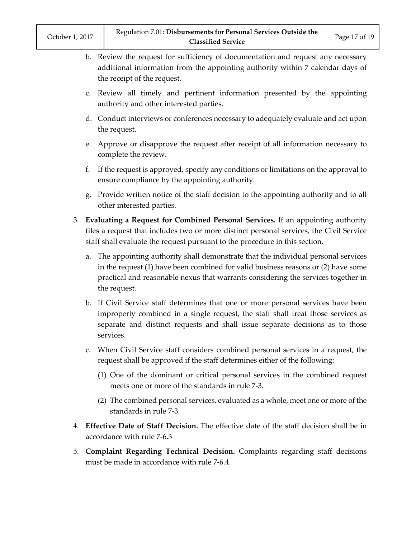| October 1, 2017 |  |
|-----------------|--|
|                 |  |

- b. Review the request for sufficiency of documentation and request any necessary additional information from the appointing authority within 7 calendar days of the receipt of the request.
- c. Review all timely and pertinent information presented by the appointing authority and other interested parties.
- d. Conduct interviews or conferences necessary to adequately evaluate and act upon the request.
- e. Approve or disapprove the request after receipt of all information necessary to complete the review.
- f. If the request is approved, specify any conditions or limitations on the approval to ensure compliance by the appointing authority.
- g. Provide written notice of the staff decision to the appointing authority and to all other interested parties.
- 3. **Evaluating a Request for Combined Personal Services.** If an appointing authority files a request that includes two or more distinct personal services, the Civil Service staff shall evaluate the request pursuant to the procedure in this section.
	- a. The appointing authority shall demonstrate that the individual personal services in the request (1) have been combined for valid business reasons or (2) have some practical and reasonable nexus that warrants considering the services together in the request.
	- b. If Civil Service staff determines that one or more personal services have been improperly combined in a single request, the staff shall treat those services as separate and distinct requests and shall issue separate decisions as to those services.
	- c. When Civil Service staff considers combined personal services in a request, the request shall be approved if the staff determines either of the following:
		- (1) One of the dominant or critical personal services in the combined request meets one or more of the standards in rule 7-3.
		- (2) The combined personal services, evaluated as a whole, meet one or more of the standards in rule 7-3.
- 4. **Effective Date of Staff Decision.** The effective date of the staff decision shall be in accordance with rule 7-6.3
- 5. **Complaint Regarding Technical Decision.** Complaints regarding staff decisions must be made in accordance with rule 7-6.4.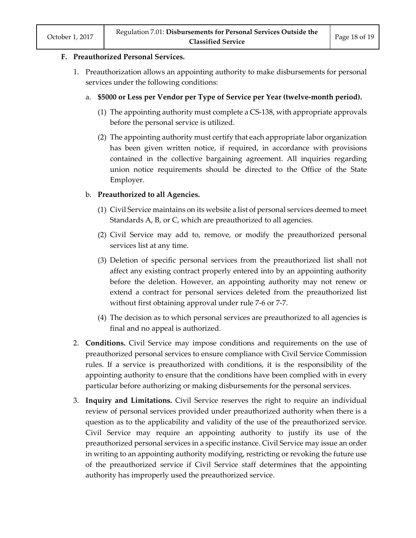#### **F. Preauthorized Personal Services.**

- 1. Preauthorization allows an appointing authority to make disbursements for personal services under the following conditions:
	- a. **\$5000 or Less per Vendor per Type of Service per Year (twelve-month period).**
		- (1) The appointing authority must complete a CS-138, with appropriate approvals before the personal service is utilized.
		- (2) The appointing authority must certify that each appropriate labor organization has been given written notice, if required, in accordance with provisions contained in the collective bargaining agreement. All inquiries regarding union notice requirements should be directed to the Office of the State Employer.

## b. **Preauthorized to all Agencies.**

- (1) Civil Service maintains on its website a list of personal services deemed to meet Standards A, B, or C, which are preauthorized to all agencies.
- (2) Civil Service may add to, remove, or modify the preauthorized personal services list at any time.
- (3) Deletion of specific personal services from the preauthorized list shall not affect any existing contract properly entered into by an appointing authority before the deletion. However, an appointing authority may not renew or extend a contract for personal services deleted from the preauthorized list without first obtaining approval under rule 7-6 or 7-7.
- (4) The decision as to which personal services are preauthorized to all agencies is final and no appeal is authorized.
- 2. **Conditions.** Civil Service may impose conditions and requirements on the use of preauthorized personal services to ensure compliance with Civil Service Commission rules. If a service is preauthorized with conditions, it is the responsibility of the appointing authority to ensure that the conditions have been complied with in every particular before authorizing or making disbursements for the personal services.
- 3. **Inquiry and Limitations.** Civil Service reserves the right to require an individual review of personal services provided under preauthorized authority when there is a question as to the applicability and validity of the use of the preauthorized service. Civil Service may require an appointing authority to justify its use of the preauthorized personal services in a specific instance. Civil Service may issue an order in writing to an appointing authority modifying, restricting or revoking the future use of the preauthorized service if Civil Service staff determines that the appointing authority has improperly used the preauthorized service.